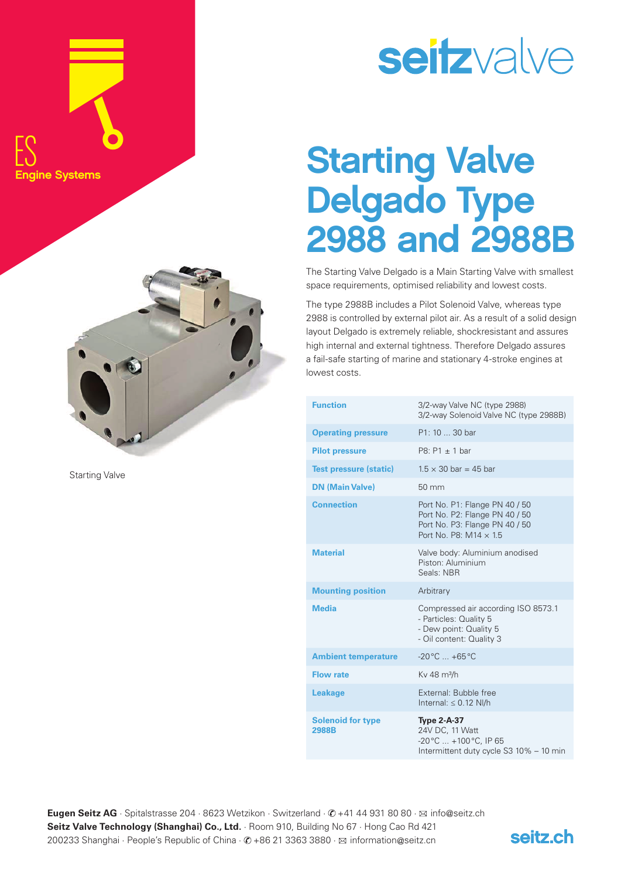



Starting Valve

## seitzvalve

## Starting Valve Delgado Type 2988 and 2988B

The Starting Valve Delgado is a Main Starting Valve with smallest space requirements, optimised reliability and lowest costs.

The type 2988B includes a Pilot Solenoid Valve, whereas type 2988 is controlled by external pilot air. As a result of a solid design layout Delgado is extremely reliable, shockresistant and assures high internal and external tightness. Therefore Delgado assures a fail-safe starting of marine and stationary 4-stroke engines at lowest costs.

| <b>Function</b>                   | 3/2-way Valve NC (type 2988)<br>3/2-way Solenoid Valve NC (type 2988B)                                                              |
|-----------------------------------|-------------------------------------------------------------------------------------------------------------------------------------|
| <b>Operating pressure</b>         | P1: 10  30 bar                                                                                                                      |
| <b>Pilot pressure</b>             | $P8: P1 \pm 1$ bar                                                                                                                  |
| <b>Test pressure (static)</b>     | $1.5 \times 30$ bar = 45 bar                                                                                                        |
| <b>DN (Main Valve)</b>            | $50 \text{ mm}$                                                                                                                     |
| <b>Connection</b>                 | Port No. P1: Flange PN 40 / 50<br>Port No. P2: Flange PN 40 / 50<br>Port No. P3: Flange PN 40 / 50<br>Port No. P8: $M14 \times 1.5$ |
| <b>Material</b>                   | Valve body: Aluminium anodised<br>Piston: Aluminium<br>Seals: NBR                                                                   |
| <b>Mounting position</b>          | Arbitrary                                                                                                                           |
| <b>Media</b>                      | Compressed air according ISO 8573.1<br>- Particles: Quality 5<br>- Dew point: Quality 5<br>- Oil content: Quality 3                 |
| <b>Ambient temperature</b>        | $-20^{\circ}$ C $+65^{\circ}$ C                                                                                                     |
| <b>Flow rate</b>                  | Ky 48 m <sup>3</sup> /h                                                                                                             |
| <b>Leakage</b>                    | External: Bubble free<br>Internal: $\leq$ 0.12 NI/h                                                                                 |
| <b>Solenoid for type</b><br>2988B | <b>Type 2-A-37</b><br>24V DC, 11 Watt<br>-20°C  +100°C, IP 65<br>Intermittent duty cycle S3 10% - 10 min                            |

**Eugen Seitz AG** · Spitalstrasse 204 · 8623 Wetzikon · Switzerland · *©* +41 44 931 80 80 · ⊠ info@seitz.ch **Seitz Valve Technology (Shanghai) Co., Ltd.** Room 910, Building No 67 · Hong Cao Rd 421 200233 Shanghai · People's Republic of China ·  $\oslash$  +86 21 3363 3880 ·  $\boxtimes$  information@seitz.cn